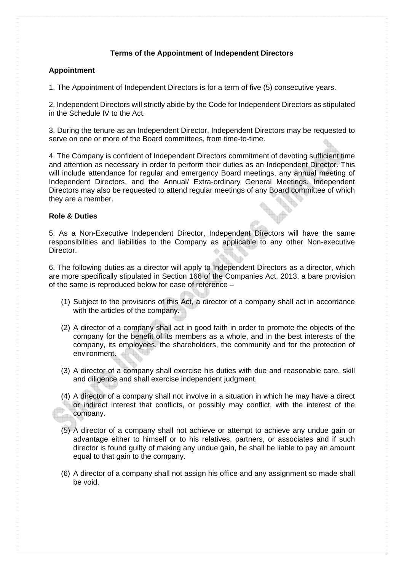# **Terms of the Appointment of Independent Directors**

# **Appointment**

1. The Appointment of Independent Directors is for a term of five (5) consecutive years.

2. Independent Directors will strictly abide by the Code for Independent Directors as stipulated in the Schedule IV to the Act.

3. During the tenure as an Independent Director, Independent Directors may be requested to serve on one or more of the Board committees, from time-to-time.

4. The Company is confident of Independent Directors commitment of devoting sufficient time and attention as necessary in order to perform their duties as an Independent Director. This will include attendance for regular and emergency Board meetings, any annual meeting of Independent Directors, and the Annual/ Extra-ordinary General Meetings. Independent Directors may also be requested to attend regular meetings of any Board committee of which they are a member.

# **Role & Duties**

5. As a Non-Executive Independent Director, Independent Directors will have the same responsibilities and liabilities to the Company as applicable to any other Non-executive Director.

6. The following duties as a director will apply to Independent Directors as a director, which are more specifically stipulated in Section 166 of the Companies Act, 2013, a bare provision of the same is reproduced below for ease of reference –

- (1) Subject to the provisions of this Act, a director of a company shall act in accordance with the articles of the company.
- (2) A director of a company shall act in good faith in order to promote the objects of the company for the benefit of its members as a whole, and in the best interests of the company, its employees, the shareholders, the community and for the protection of environment.
- (3) A director of a company shall exercise his duties with due and reasonable care, skill and diligence and shall exercise independent judgment.
- (4) A director of a company shall not involve in a situation in which he may have a direct or indirect interest that conflicts, or possibly may conflict, with the interest of the company.
- (5) A director of a company shall not achieve or attempt to achieve any undue gain or advantage either to himself or to his relatives, partners, or associates and if such director is found guilty of making any undue gain, he shall be liable to pay an amount equal to that gain to the company.
- (6) A director of a company shall not assign his office and any assignment so made shall be void.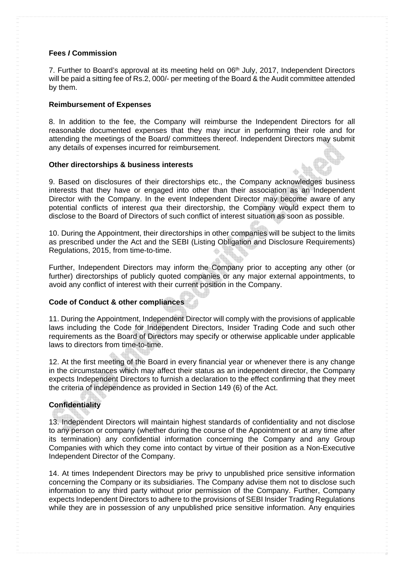#### **Fees** *I* **Commission**

7. Further to Board's approval at its meeting held on 06<sup>th</sup> July, 2017, Independent Directors will be paid a sitting fee of Rs.2, 000/- per meeting of the Board & the Audit committee attended by them.

## **Reimbursement of Expenses**

8. In addition to the fee, the Company will reimburse the Independent Directors for all reasonable documented expenses that they may incur in performing their role and for attending the meetings of the Board/ committees thereof. Independent Directors may submit any details of expenses incurred for reimbursement.

#### **Other directorships & business interests**

9. Based on disclosures of their directorships etc., the Company acknowledges business interests that they have or engaged into other than their association as an Independent Director with the Company. In the event Independent Director may become aware of any potential conflicts of interest *qua* their directorship, the Company would expect them to disclose to the Board of Directors of such conflict of interest situation as soon as possible.

10. During the Appointment, their directorships in other companies will be subject to the limits as prescribed under the Act and the SEBI (Listing Obligation and Disclosure Requirements) Regulations, 2015, from time-to-time.

Further, Independent Directors may inform the Company prior to accepting any other (or further) directorships of publicly quoted companies or any major external appointments, to avoid any conflict of interest with their current position in the Company.

# **Code of Conduct & other compliances**

11. During the Appointment, Independent Director will comply with the provisions of applicable laws including the Code for Independent Directors, Insider Trading Code and such other requirements as the Board of Directors may specify or otherwise applicable under applicable laws to directors from time-to-time.

12. At the first meeting of the Board in every financial year or whenever there is any change in the circumstances which may affect their status as an independent director, the Company expects Independent Directors to furnish a declaration to the effect confirming that they meet the criteria of independence as provided in Section 149 (6) of the Act.

# **Confidentiality**

13. Independent Directors will maintain highest standards of confidentiality and not disclose to any person or company (whether during the course of the Appointment or at any time after its termination) any confidential information concerning the Company and any Group Companies with which they come into contact by virtue of their position as a Non-Executive Independent Director of the Company.

14. At times Independent Directors may be privy to unpublished price sensitive information concerning the Company or its subsidiaries. The Company advise them not to disclose such information to any third party without prior permission of the Company. Further, Company expects Independent Directors to adhere to the provisions of SEBI Insider Trading Regulations while they are in possession of any unpublished price sensitive information. Any enquiries